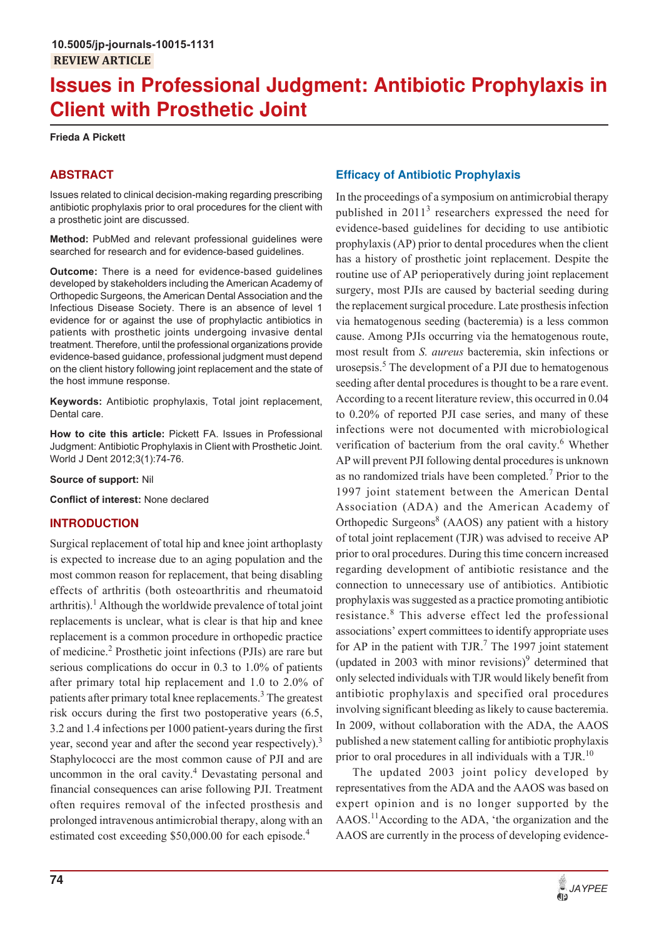# **Issues in Professional Judgment: Antibiotic Prophylaxis in Client with Prosthetic Joint**

**Frieda A Pickett**

## **ABSTRACT**

Issues related to clinical decision-making regarding prescribing antibiotic prophylaxis prior to oral procedures for the client with a prosthetic joint are discussed.

**Method:** PubMed and relevant professional guidelines were searched for research and for evidence-based guidelines.

**Outcome:** There is a need for evidence-based guidelines developed by stakeholders including the American Academy of Orthopedic Surgeons, the American Dental Association and the Infectious Disease Society. There is an absence of level 1 evidence for or against the use of prophylactic antibiotics in patients with prosthetic joints undergoing invasive dental treatment. Therefore, until the professional organizations provide evidence-based guidance, professional judgment must depend on the client history following joint replacement and the state of the host immune response.

**Keywords:** Antibiotic prophylaxis, Total joint replacement, Dental care.

**How to cite this article:** Pickett FA. Issues in Professional Judgment: Antibiotic Prophylaxis in Client with Prosthetic Joint. World J Dent 2012;3(1):74-76.

**Source of support:** Nil

**Conflict of interest:** None declared

### **INTRODUCTION**

Surgical replacement of total hip and knee joint arthoplasty is expected to increase due to an aging population and the most common reason for replacement, that being disabling effects of arthritis (both osteoarthritis and rheumatoid arthritis).<sup>1</sup> Although the worldwide prevalence of total joint replacements is unclear, what is clear is that hip and knee replacement is a common procedure in orthopedic practice of medicine.<sup>2</sup> Prosthetic joint infections (PJIs) are rare but serious complications do occur in 0.3 to 1.0% of patients after primary total hip replacement and 1.0 to 2.0% of patients after primary total knee replacements.<sup>3</sup> The greatest risk occurs during the first two postoperative years (6.5, 3.2 and 1.4 infections per 1000 patient-years during the first year, second year and after the second year respectively).<sup>3</sup> Staphylococci are the most common cause of PJI and are uncommon in the oral cavity.<sup>4</sup> Devastating personal and financial consequences can arise following PJI. Treatment often requires removal of the infected prosthesis and prolonged intravenous antimicrobial therapy, along with an estimated cost exceeding \$50,000.00 for each episode.<sup>4</sup>

## **Efficacy of Antibiotic Prophylaxis**

In the proceedings of a symposium on antimicrobial therapy published in 2011<sup>3</sup> researchers expressed the need for evidence-based guidelines for deciding to use antibiotic prophylaxis (AP) prior to dental procedures when the client has a history of prosthetic joint replacement. Despite the routine use of AP perioperatively during joint replacement surgery, most PJIs are caused by bacterial seeding during the replacement surgical procedure. Late prosthesis infection via hematogenous seeding (bacteremia) is a less common cause. Among PJIs occurring via the hematogenous route, most result from *S. aureus* bacteremia, skin infections or urosepsis.<sup>5</sup> The development of a PJI due to hematogenous seeding after dental procedures is thought to be a rare event. According to a recent literature review, this occurred in 0.04 to 0.20% of reported PJI case series, and many of these infections were not documented with microbiological verification of bacterium from the oral cavity.<sup>6</sup> Whether AP will prevent PJI following dental procedures is unknown as no randomized trials have been completed.<sup>7</sup> Prior to the 1997 joint statement between the American Dental Association (ADA) and the American Academy of Orthopedic Surgeons<sup>8</sup> (AAOS) any patient with a history of total joint replacement (TJR) was advised to receive AP prior to oral procedures. During this time concern increased regarding development of antibiotic resistance and the connection to unnecessary use of antibiotics. Antibiotic prophylaxis was suggested as a practice promoting antibiotic resistance.<sup>8</sup> This adverse effect led the professional associations' expert committees to identify appropriate uses for AP in the patient with TJR. $<sup>7</sup>$  The 1997 joint statement</sup> (updated in 2003 with minor revisions) $\delta$  determined that only selected individuals with TJR would likely benefit from antibiotic prophylaxis and specified oral procedures involving significant bleeding as likely to cause bacteremia. In 2009, without collaboration with the ADA, the AAOS published a new statement calling for antibiotic prophylaxis prior to oral procedures in all individuals with a TJR.<sup>10</sup>

The updated 2003 joint policy developed by representatives from the ADA and the AAOS was based on expert opinion and is no longer supported by the AAOS.11According to the ADA, 'the organization and the AAOS are currently in the process of developing evidence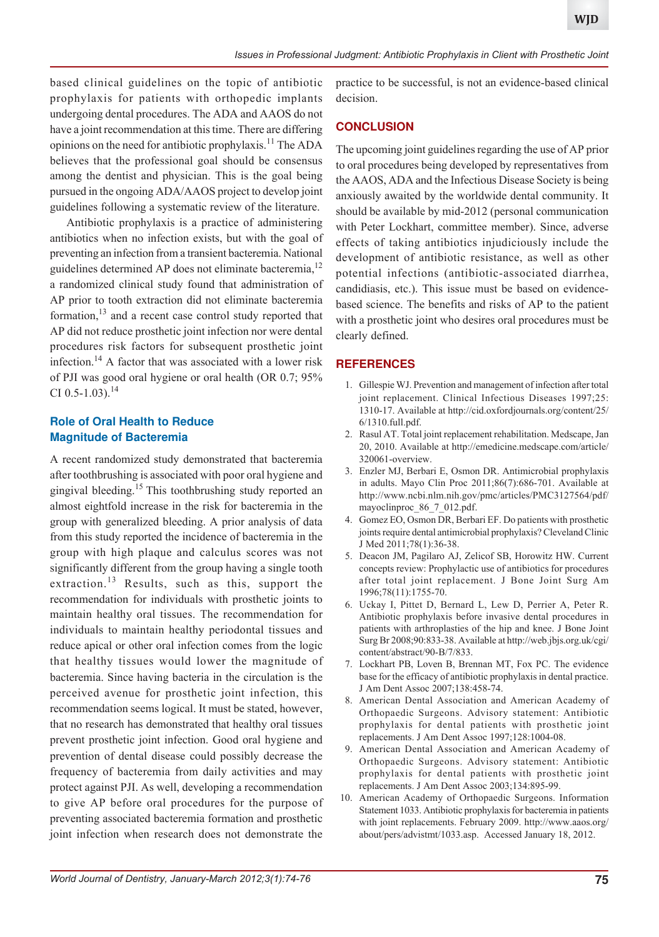based clinical guidelines on the topic of antibiotic prophylaxis for patients with orthopedic implants undergoing dental procedures. The ADA and AAOS do not have a joint recommendation at this time. There are differing opinions on the need for antibiotic prophylaxis.11 The ADA believes that the professional goal should be consensus among the dentist and physician. This is the goal being pursued in the ongoing ADA/AAOS project to develop joint guidelines following a systematic review of the literature.

Antibiotic prophylaxis is a practice of administering antibiotics when no infection exists, but with the goal of preventing an infection from a transient bacteremia. National guidelines determined AP does not eliminate bacteremia,<sup>12</sup> a randomized clinical study found that administration of AP prior to tooth extraction did not eliminate bacteremia formation, $13$  and a recent case control study reported that AP did not reduce prosthetic joint infection nor were dental procedures risk factors for subsequent prosthetic joint infection.14 A factor that was associated with a lower risk of PJI was good oral hygiene or oral health (OR 0.7; 95% CI 0.5-1.03).<sup>14</sup>

#### **Role of Oral Health to Reduce Magnitude of Bacteremia**

A recent randomized study demonstrated that bacteremia after toothbrushing is associated with poor oral hygiene and gingival bleeding.15 This toothbrushing study reported an almost eightfold increase in the risk for bacteremia in the group with generalized bleeding. A prior analysis of data from this study reported the incidence of bacteremia in the group with high plaque and calculus scores was not significantly different from the group having a single tooth extraction.<sup>13</sup> Results, such as this, support the recommendation for individuals with prosthetic joints to maintain healthy oral tissues. The recommendation for individuals to maintain healthy periodontal tissues and reduce apical or other oral infection comes from the logic that healthy tissues would lower the magnitude of bacteremia. Since having bacteria in the circulation is the perceived avenue for prosthetic joint infection, this recommendation seems logical. It must be stated, however, that no research has demonstrated that healthy oral tissues prevent prosthetic joint infection. Good oral hygiene and prevention of dental disease could possibly decrease the frequency of bacteremia from daily activities and may protect against PJI. As well, developing a recommendation to give AP before oral procedures for the purpose of preventing associated bacteremia formation and prosthetic joint infection when research does not demonstrate the

practice to be successful, is not an evidence-based clinical decision.

#### **CONCLUSION**

The upcoming joint guidelines regarding the use of AP prior to oral procedures being developed by representatives from the AAOS, ADA and the Infectious Disease Society is being anxiously awaited by the worldwide dental community. It should be available by mid-2012 (personal communication with Peter Lockhart, committee member). Since, adverse effects of taking antibiotics injudiciously include the development of antibiotic resistance, as well as other potential infections (antibiotic-associated diarrhea, candidiasis, etc.). This issue must be based on evidencebased science. The benefits and risks of AP to the patient with a prosthetic joint who desires oral procedures must be clearly defined.

#### **REFERENCES**

- 1. Gillespie WJ. Prevention and management of infection after total joint replacement. Clinical Infectious Diseases 1997;25: 1310-17. Available at http://cid.oxfordjournals.org/content/25/ 6/1310.full.pdf.
- 2. Rasul AT. Total joint replacement rehabilitation. Medscape, Jan 20, 2010. Available at http://emedicine.medscape.com/article/ 320061-overview.
- 3. Enzler MJ, Berbari E, Osmon DR. Antimicrobial prophylaxis in adults. Mayo Clin Proc 2011;86(7):686-701. Available at http://www.ncbi.nlm.nih.gov/pmc/articles/PMC3127564/pdf/ mayoclinproc 86 7 012.pdf.
- 4. Gomez EO, Osmon DR, Berbari EF. Do patients with prosthetic joints require dental antimicrobial prophylaxis? Cleveland Clinic J Med 2011;78(1):36-38.
- 5. Deacon JM, Pagilaro AJ, Zelicof SB, Horowitz HW. Current concepts review: Prophylactic use of antibiotics for procedures after total joint replacement. J Bone Joint Surg Am 1996;78(11):1755-70.
- 6. Uckay I, Pittet D, Bernard L, Lew D, Perrier A, Peter R. Antibiotic prophylaxis before invasive dental procedures in patients with arthroplasties of the hip and knee. J Bone Joint Surg Br 2008;90:833-38. Available at http://web.jbjs.org.uk/cgi/ content/abstract/90-B/7/833.
- 7. Lockhart PB, Loven B, Brennan MT, Fox PC. The evidence base for the efficacy of antibiotic prophylaxis in dental practice. J Am Dent Assoc 2007;138:458-74.
- 8. American Dental Association and American Academy of Orthopaedic Surgeons. Advisory statement: Antibiotic prophylaxis for dental patients with prosthetic joint replacements. J Am Dent Assoc 1997;128:1004-08.
- 9. American Dental Association and American Academy of Orthopaedic Surgeons. Advisory statement: Antibiotic prophylaxis for dental patients with prosthetic joint replacements. J Am Dent Assoc 2003;134:895-99.
- 10. American Academy of Orthopaedic Surgeons. Information Statement 1033. Antibiotic prophylaxis for bacteremia in patients with joint replacements. February 2009. http://www.aaos.org/ about/pers/advistmt/1033.asp. Accessed January 18, 2012.